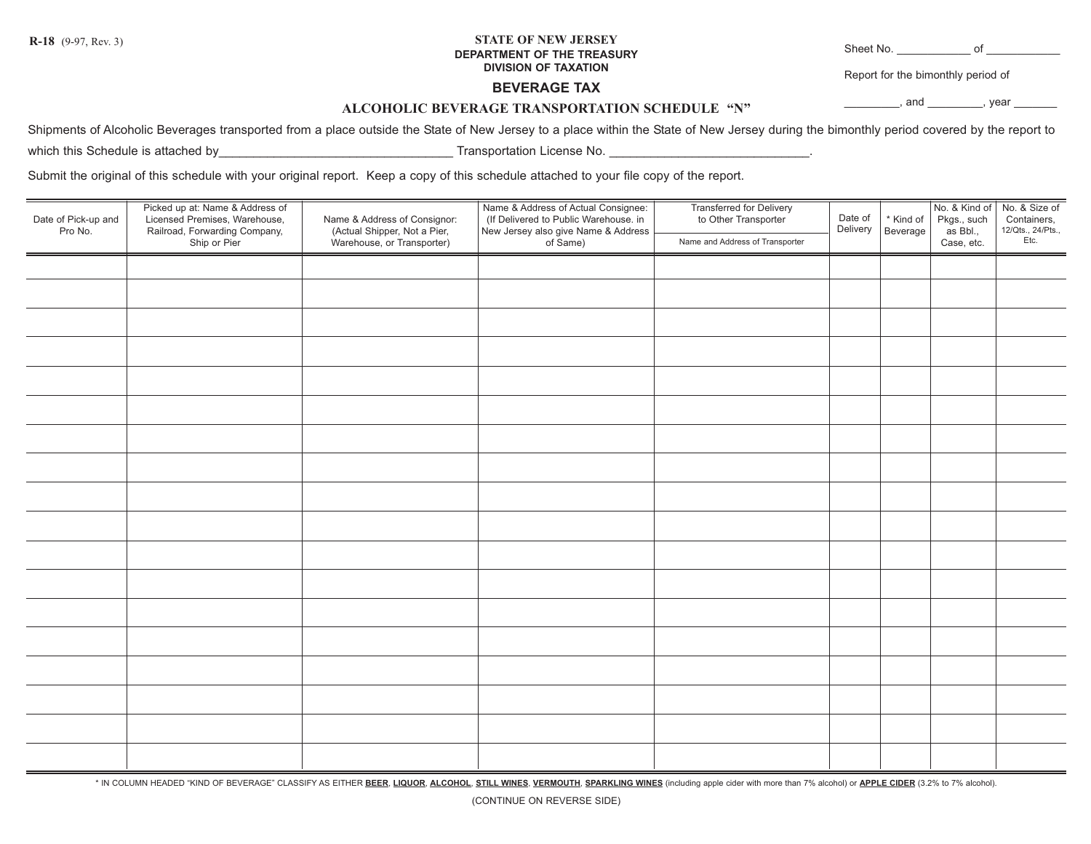## **STATE OF NEW JERSEY DEPARTMENT OF THE TREASURY DIVISION OF TAXATION R-18** (9-97, Rev. 3) Sheet No. \_\_\_\_\_\_\_\_\_\_\_\_ of \_\_\_\_\_\_\_\_\_\_\_\_

Report for the bimonthly period of

## **BEVERAGE TAX**

 $,$  and  $,$  year  $,$ 

## **ALCOHOLIC BEVERAGE TRANSPORTATION SCHEDULE "N"**

Shipments of Alcoholic Beverages transported from a place outside the State of New Jersey to a place within the State of New Jersey during the bimonthly period covered by the report to which this Schedule is attached by example of the state of the state of the state of the state of the state of the state of the state of the state of the state of the state of the state of the state of the state of the sta

Submit the original of this schedule with your original report. Keep a copy of this schedule attached to your file copy of the report.

| Date of Pick-up and<br>Pro No. | Picked up at: Name & Address of<br>Licensed Premises, Warehouse,<br>Railroad, Forwarding Company,<br>Ship or Pier | Name & Address of Consignor:<br>(Actual Shipper, Not a Pier,<br>Warehouse, or Transporter) | Name & Address of Actual Consignee:<br>(If Delivered to Public Warehouse. in<br>New Jersey also give Name & Address<br>of Same) | Transferred for Delivery<br>to Other Transporter<br>Name and Address of Transporter | Date of<br>Delivery | * Kind of<br>Beverage | Pkgs., such<br>as Bbl.,<br>Case, etc. | No. & Kind of No. & Size of<br>Containers,<br>12/Qts., 24/Pts.,<br>Etc. |
|--------------------------------|-------------------------------------------------------------------------------------------------------------------|--------------------------------------------------------------------------------------------|---------------------------------------------------------------------------------------------------------------------------------|-------------------------------------------------------------------------------------|---------------------|-----------------------|---------------------------------------|-------------------------------------------------------------------------|
|                                |                                                                                                                   |                                                                                            |                                                                                                                                 |                                                                                     |                     |                       |                                       |                                                                         |
|                                |                                                                                                                   |                                                                                            |                                                                                                                                 |                                                                                     |                     |                       |                                       |                                                                         |
|                                |                                                                                                                   |                                                                                            |                                                                                                                                 |                                                                                     |                     |                       |                                       |                                                                         |
|                                |                                                                                                                   |                                                                                            |                                                                                                                                 |                                                                                     |                     |                       |                                       |                                                                         |
|                                |                                                                                                                   |                                                                                            |                                                                                                                                 |                                                                                     |                     |                       |                                       |                                                                         |
|                                |                                                                                                                   |                                                                                            |                                                                                                                                 |                                                                                     |                     |                       |                                       |                                                                         |
|                                |                                                                                                                   |                                                                                            |                                                                                                                                 |                                                                                     |                     |                       |                                       |                                                                         |
|                                |                                                                                                                   |                                                                                            |                                                                                                                                 |                                                                                     |                     |                       |                                       |                                                                         |
|                                |                                                                                                                   |                                                                                            |                                                                                                                                 |                                                                                     |                     |                       |                                       |                                                                         |
|                                |                                                                                                                   |                                                                                            |                                                                                                                                 |                                                                                     |                     |                       |                                       |                                                                         |
|                                |                                                                                                                   |                                                                                            |                                                                                                                                 |                                                                                     |                     |                       |                                       |                                                                         |
|                                |                                                                                                                   |                                                                                            |                                                                                                                                 |                                                                                     |                     |                       |                                       |                                                                         |
|                                |                                                                                                                   |                                                                                            |                                                                                                                                 |                                                                                     |                     |                       |                                       |                                                                         |
|                                |                                                                                                                   |                                                                                            |                                                                                                                                 |                                                                                     |                     |                       |                                       |                                                                         |
|                                |                                                                                                                   |                                                                                            |                                                                                                                                 |                                                                                     |                     |                       |                                       |                                                                         |
|                                |                                                                                                                   |                                                                                            |                                                                                                                                 |                                                                                     |                     |                       |                                       |                                                                         |
|                                |                                                                                                                   |                                                                                            |                                                                                                                                 |                                                                                     |                     |                       |                                       |                                                                         |
|                                |                                                                                                                   |                                                                                            |                                                                                                                                 |                                                                                     |                     |                       |                                       |                                                                         |

\* IN COLUMN HEADED "KIND OF BEVERAGE" CLASSIFY AS EITHER BEER, LIQUOR, ALCOHOL, STILL WINES, VERMOUTH, SPARKLING WINES (including apple cider with more than 7% alcohol) or APPLE CIDER (3.2% to 7% alcohol).